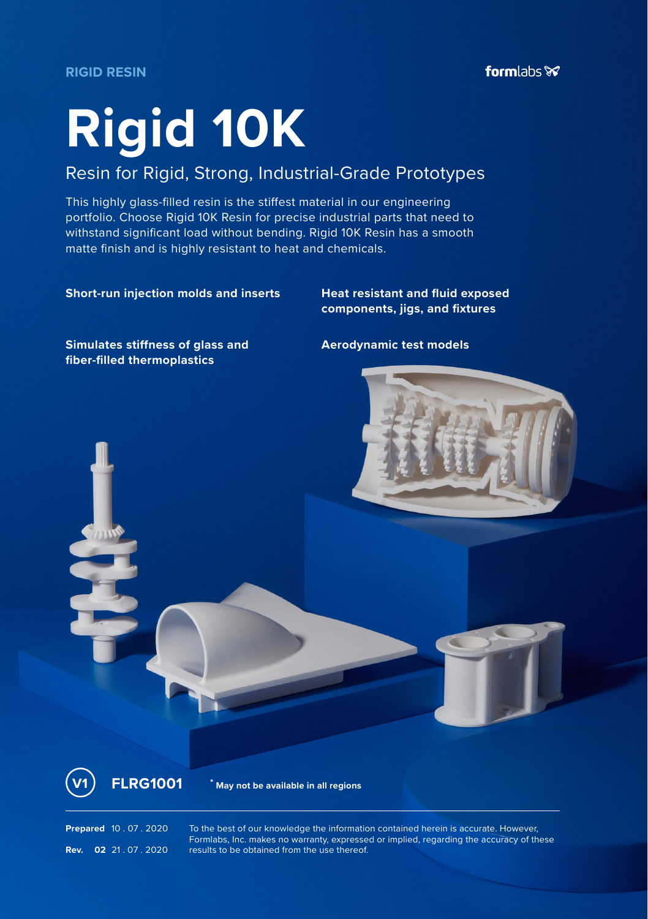**RIGID RESIN**

# **Rigid 10K**

# Resin for Rigid, Strong, Industrial-Grade Prototypes

This highly glass-filled resin is the stiffest material in our engineering portfolio. Choose Rigid 10K Resin for precise industrial parts that need to withstand significant load without bending. Rigid 10K Resin has a smooth matte finish and is highly resistant to heat and chemicals.

#### **Short-run injection molds and inserts Heat resistant and fluid exposed**

**components, jigs, and fixtures**

**Simulates stiffness of glass and fiber-filled thermoplastics**

**Aerodynamic test models**





**V1 FLRG1001 \* May not be available in all regions**

**Prepared** 10 . 07 . 2020 To the best of our knowledge the information contained herein is accurate. However, Formlabs, Inc. makes no warranty, expressed or implied, regarding the accuracy of these **Rev. 02** 21 . 07 . 2020 **results to be obtained from the use thereof.**